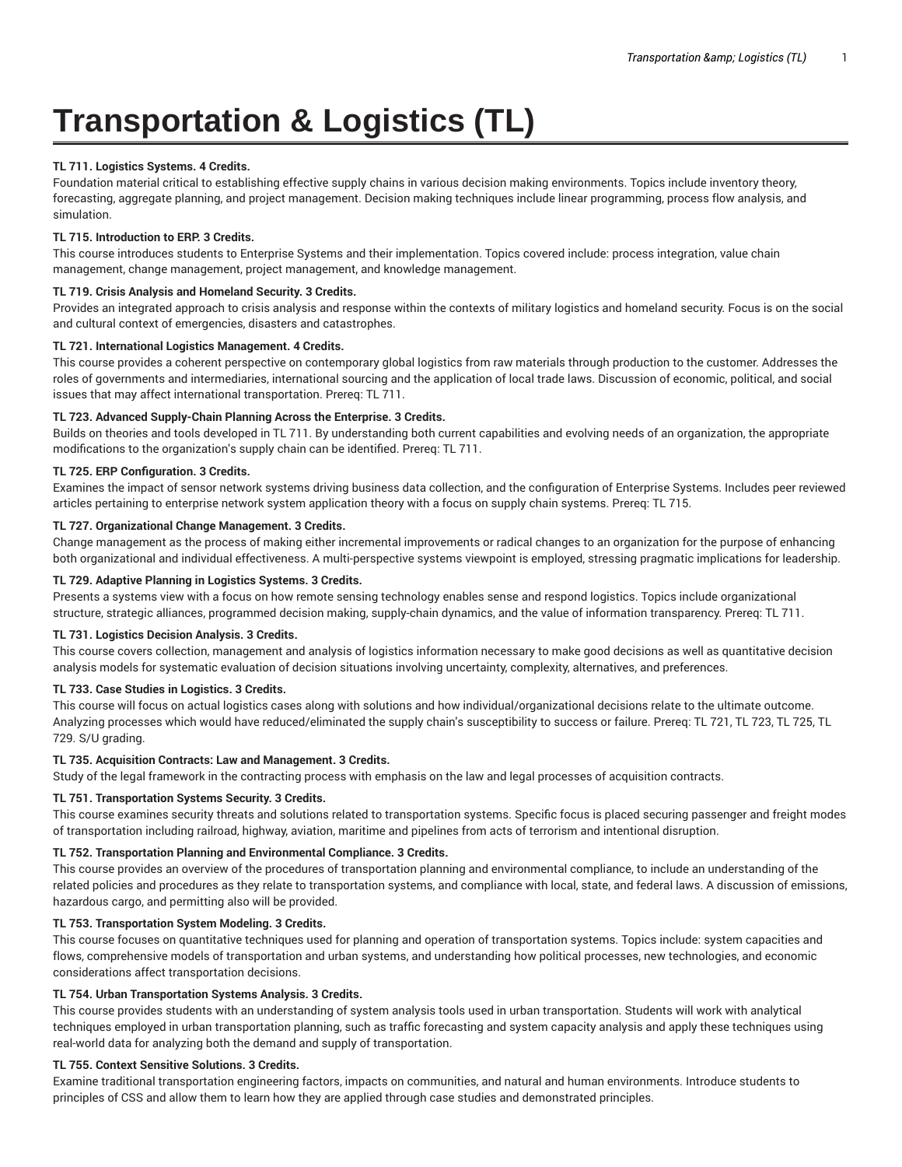# **Transportation & Logistics (TL)**

## **TL 711. Logistics Systems. 4 Credits.**

Foundation material critical to establishing effective supply chains in various decision making environments. Topics include inventory theory, forecasting, aggregate planning, and project management. Decision making techniques include linear programming, process flow analysis, and simulation.

## **TL 715. Introduction to ERP. 3 Credits.**

This course introduces students to Enterprise Systems and their implementation. Topics covered include: process integration, value chain management, change management, project management, and knowledge management.

## **TL 719. Crisis Analysis and Homeland Security. 3 Credits.**

Provides an integrated approach to crisis analysis and response within the contexts of military logistics and homeland security. Focus is on the social and cultural context of emergencies, disasters and catastrophes.

## **TL 721. International Logistics Management. 4 Credits.**

This course provides a coherent perspective on contemporary global logistics from raw materials through production to the customer. Addresses the roles of governments and intermediaries, international sourcing and the application of local trade laws. Discussion of economic, political, and social issues that may affect international transportation. Prereq: TL 711.

#### **TL 723. Advanced Supply-Chain Planning Across the Enterprise. 3 Credits.**

Builds on theories and tools developed in TL 711. By understanding both current capabilities and evolving needs of an organization, the appropriate modifications to the organization's supply chain can be identified. Prereq: TL 711.

## **TL 725. ERP Configuration. 3 Credits.**

Examines the impact of sensor network systems driving business data collection, and the configuration of Enterprise Systems. Includes peer reviewed articles pertaining to enterprise network system application theory with a focus on supply chain systems. Prereq: TL 715.

## **TL 727. Organizational Change Management. 3 Credits.**

Change management as the process of making either incremental improvements or radical changes to an organization for the purpose of enhancing both organizational and individual effectiveness. A multi-perspective systems viewpoint is employed, stressing pragmatic implications for leadership.

#### **TL 729. Adaptive Planning in Logistics Systems. 3 Credits.**

Presents a systems view with a focus on how remote sensing technology enables sense and respond logistics. Topics include organizational structure, strategic alliances, programmed decision making, supply-chain dynamics, and the value of information transparency. Prereq: TL 711.

#### **TL 731. Logistics Decision Analysis. 3 Credits.**

This course covers collection, management and analysis of logistics information necessary to make good decisions as well as quantitative decision analysis models for systematic evaluation of decision situations involving uncertainty, complexity, alternatives, and preferences.

# **TL 733. Case Studies in Logistics. 3 Credits.**

This course will focus on actual logistics cases along with solutions and how individual/organizational decisions relate to the ultimate outcome. Analyzing processes which would have reduced/eliminated the supply chain's susceptibility to success or failure. Prereq: TL 721, TL 723, TL 725, TL 729. S/U grading.

#### **TL 735. Acquisition Contracts: Law and Management. 3 Credits.**

Study of the legal framework in the contracting process with emphasis on the law and legal processes of acquisition contracts.

# **TL 751. Transportation Systems Security. 3 Credits.**

This course examines security threats and solutions related to transportation systems. Specific focus is placed securing passenger and freight modes of transportation including railroad, highway, aviation, maritime and pipelines from acts of terrorism and intentional disruption.

#### **TL 752. Transportation Planning and Environmental Compliance. 3 Credits.**

This course provides an overview of the procedures of transportation planning and environmental compliance, to include an understanding of the related policies and procedures as they relate to transportation systems, and compliance with local, state, and federal laws. A discussion of emissions, hazardous cargo, and permitting also will be provided.

#### **TL 753. Transportation System Modeling. 3 Credits.**

This course focuses on quantitative techniques used for planning and operation of transportation systems. Topics include: system capacities and flows, comprehensive models of transportation and urban systems, and understanding how political processes, new technologies, and economic considerations affect transportation decisions.

#### **TL 754. Urban Transportation Systems Analysis. 3 Credits.**

This course provides students with an understanding of system analysis tools used in urban transportation. Students will work with analytical techniques employed in urban transportation planning, such as traffic forecasting and system capacity analysis and apply these techniques using real-world data for analyzing both the demand and supply of transportation.

#### **TL 755. Context Sensitive Solutions. 3 Credits.**

Examine traditional transportation engineering factors, impacts on communities, and natural and human environments. Introduce students to principles of CSS and allow them to learn how they are applied through case studies and demonstrated principles.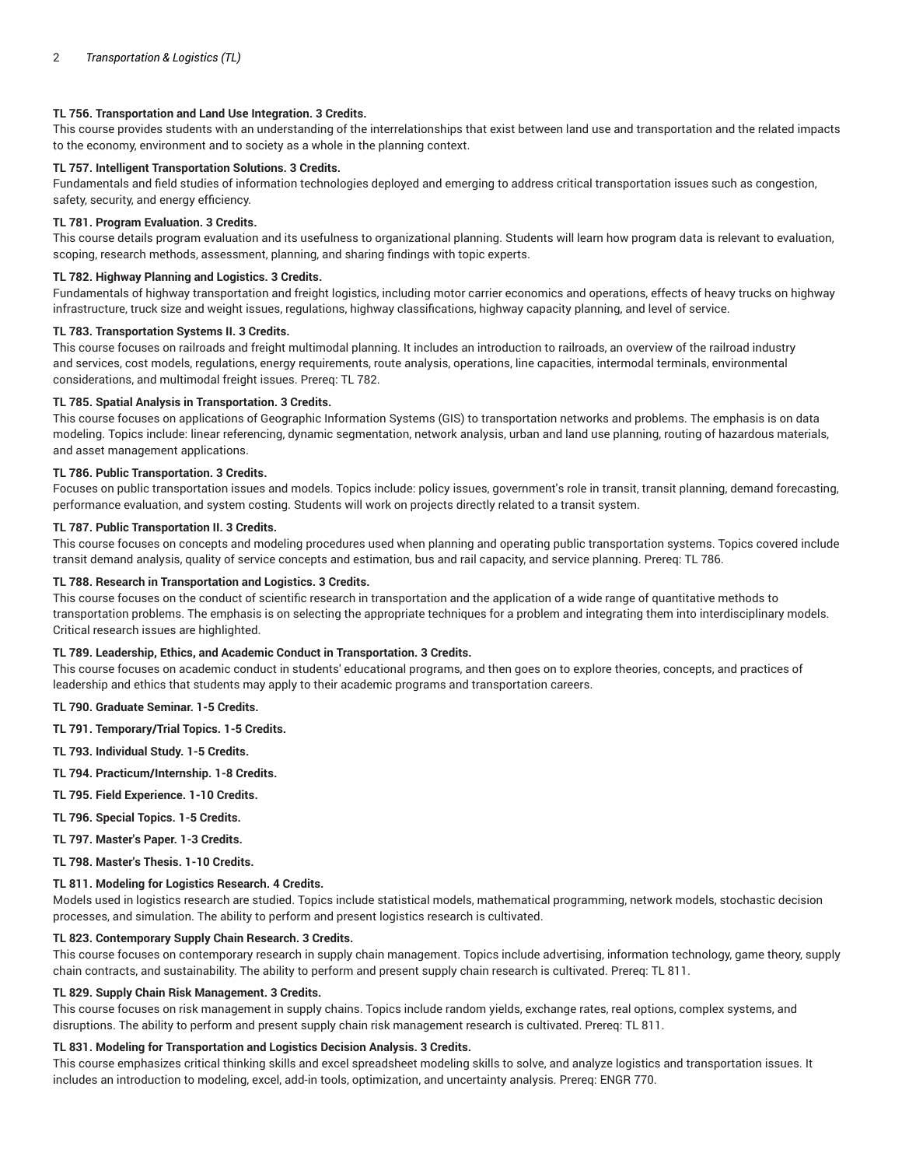## **TL 756. Transportation and Land Use Integration. 3 Credits.**

This course provides students with an understanding of the interrelationships that exist between land use and transportation and the related impacts to the economy, environment and to society as a whole in the planning context.

#### **TL 757. Intelligent Transportation Solutions. 3 Credits.**

Fundamentals and field studies of information technologies deployed and emerging to address critical transportation issues such as congestion, safety, security, and energy efficiency.

#### **TL 781. Program Evaluation. 3 Credits.**

This course details program evaluation and its usefulness to organizational planning. Students will learn how program data is relevant to evaluation, scoping, research methods, assessment, planning, and sharing findings with topic experts.

#### **TL 782. Highway Planning and Logistics. 3 Credits.**

Fundamentals of highway transportation and freight logistics, including motor carrier economics and operations, effects of heavy trucks on highway infrastructure, truck size and weight issues, regulations, highway classifications, highway capacity planning, and level of service.

## **TL 783. Transportation Systems II. 3 Credits.**

This course focuses on railroads and freight multimodal planning. It includes an introduction to railroads, an overview of the railroad industry and services, cost models, regulations, energy requirements, route analysis, operations, line capacities, intermodal terminals, environmental considerations, and multimodal freight issues. Prereq: TL 782.

## **TL 785. Spatial Analysis in Transportation. 3 Credits.**

This course focuses on applications of Geographic Information Systems (GIS) to transportation networks and problems. The emphasis is on data modeling. Topics include: linear referencing, dynamic segmentation, network analysis, urban and land use planning, routing of hazardous materials, and asset management applications.

#### **TL 786. Public Transportation. 3 Credits.**

Focuses on public transportation issues and models. Topics include: policy issues, government's role in transit, transit planning, demand forecasting, performance evaluation, and system costing. Students will work on projects directly related to a transit system.

#### **TL 787. Public Transportation II. 3 Credits.**

This course focuses on concepts and modeling procedures used when planning and operating public transportation systems. Topics covered include transit demand analysis, quality of service concepts and estimation, bus and rail capacity, and service planning. Prereq: TL 786.

## **TL 788. Research in Transportation and Logistics. 3 Credits.**

This course focuses on the conduct of scientific research in transportation and the application of a wide range of quantitative methods to transportation problems. The emphasis is on selecting the appropriate techniques for a problem and integrating them into interdisciplinary models. Critical research issues are highlighted.

#### **TL 789. Leadership, Ethics, and Academic Conduct in Transportation. 3 Credits.**

This course focuses on academic conduct in students' educational programs, and then goes on to explore theories, concepts, and practices of leadership and ethics that students may apply to their academic programs and transportation careers.

#### **TL 790. Graduate Seminar. 1-5 Credits.**

#### **TL 791. Temporary/Trial Topics. 1-5 Credits.**

**TL 793. Individual Study. 1-5 Credits.**

- **TL 794. Practicum/Internship. 1-8 Credits.**
- **TL 795. Field Experience. 1-10 Credits.**
- **TL 796. Special Topics. 1-5 Credits.**

**TL 797. Master's Paper. 1-3 Credits.**

**TL 798. Master's Thesis. 1-10 Credits.**

## **TL 811. Modeling for Logistics Research. 4 Credits.**

Models used in logistics research are studied. Topics include statistical models, mathematical programming, network models, stochastic decision processes, and simulation. The ability to perform and present logistics research is cultivated.

# **TL 823. Contemporary Supply Chain Research. 3 Credits.**

This course focuses on contemporary research in supply chain management. Topics include advertising, information technology, game theory, supply chain contracts, and sustainability. The ability to perform and present supply chain research is cultivated. Prereq: TL 811.

#### **TL 829. Supply Chain Risk Management. 3 Credits.**

This course focuses on risk management in supply chains. Topics include random yields, exchange rates, real options, complex systems, and disruptions. The ability to perform and present supply chain risk management research is cultivated. Prereq: TL 811.

#### **TL 831. Modeling for Transportation and Logistics Decision Analysis. 3 Credits.**

This course emphasizes critical thinking skills and excel spreadsheet modeling skills to solve, and analyze logistics and transportation issues. It includes an introduction to modeling, excel, add-in tools, optimization, and uncertainty analysis. Prereq: ENGR 770.